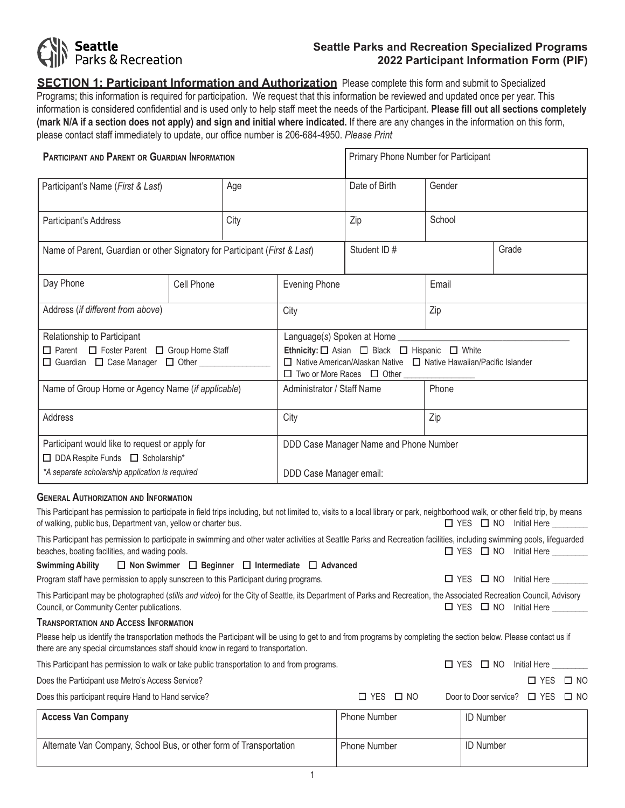# **Seattle**<br>Parks & Recreation

# **Seattle Parks and Recreation Specialized Programs 2022 Participant Information Form (PIF)**

**SECTION 1: Participant Information and Authorization** Please complete this form and submit to Specialized Programs; this information is required for participation. We request that this information be reviewed and updated once per year. This information is considered confidential and is used only to help staff meet the needs of the Participant. **Please fill out all sections completely (mark N/A if a section does not apply) and sign and initial where indicated.** If there are any changes in the information on this form, please contact staff immediately to update, our office number is 206-684-4950. *Please Print*

| <b>PARTICIPANT AND PARENT OR GUARDIAN INFORMATION</b>                                                      |                                                   |                                                                                                                                                                                               |                            | Primary Phone Number for Participant |        |       |  |
|------------------------------------------------------------------------------------------------------------|---------------------------------------------------|-----------------------------------------------------------------------------------------------------------------------------------------------------------------------------------------------|----------------------------|--------------------------------------|--------|-------|--|
| Participant's Name (First & Last)                                                                          |                                                   | Age                                                                                                                                                                                           |                            | Date of Birth                        | Gender |       |  |
| Participant's Address                                                                                      |                                                   | City                                                                                                                                                                                          |                            | Zip                                  | School |       |  |
| Name of Parent, Guardian or other Signatory for Participant (First & Last)                                 |                                                   |                                                                                                                                                                                               |                            | Student ID#                          |        | Grade |  |
| Day Phone                                                                                                  | Cell Phone                                        | <b>Evening Phone</b>                                                                                                                                                                          |                            |                                      | Email  |       |  |
| Address (if different from above)                                                                          |                                                   |                                                                                                                                                                                               | Zip<br>City                |                                      |        |       |  |
| Relationship to Participant                                                                                |                                                   |                                                                                                                                                                                               |                            |                                      |        |       |  |
| $\Box$ Parent $\Box$ Foster Parent $\Box$ Group Home Staff<br>□ Guardian □ Case Manager □ Other __________ |                                                   | Ethnicity: $\square$ Asian $\square$ Black $\square$ Hispanic $\square$ White<br>$\Box$ Native American/Alaskan Native $\Box$ Native Hawaiian/Pacific Islander<br>□ Two or More Races □ Other |                            |                                      |        |       |  |
|                                                                                                            | Name of Group Home or Agency Name (if applicable) |                                                                                                                                                                                               | Administrator / Staff Name |                                      | Phone  |       |  |
| Address                                                                                                    |                                                   | City                                                                                                                                                                                          |                            | Zip                                  |        |       |  |
| Participant would like to request or apply for<br>□ DDA Respite Funds □ Scholarship*                       |                                                   | DDD Case Manager Name and Phone Number                                                                                                                                                        |                            |                                      |        |       |  |
| *A separate scholarship application is required                                                            |                                                   | DDD Case Manager email:                                                                                                                                                                       |                            |                                      |        |       |  |
| <b>GENERAL AUTHORIZATION AND INFORMATION</b>                                                               |                                                   |                                                                                                                                                                                               |                            |                                      |        |       |  |

| This Participant has permission to participate in field trips including, but not limited to, visits to a local library or park, neighborhood walk, or other field trip, by means<br>of walking, public bus, Department van, yellow or charter bus.       |                      | $\Box$ YES $\Box$ NO Initial Here $\_\_\_\_\_\_\_\_\_\_\$ |
|----------------------------------------------------------------------------------------------------------------------------------------------------------------------------------------------------------------------------------------------------------|----------------------|-----------------------------------------------------------|
| This Participant has permission to participate in swimming and other water activities at Seattle Parks and Recreation facilities, including swimming pools, lifeguarded<br>beaches, boating facilities, and wading pools.                                |                      | $\Box$ YES $\Box$ NO<br>Initial Here _________            |
| $\Box$ Non Swimmer $\Box$ Beginner $\Box$ Intermediate $\Box$ Advanced<br>Swimming Ability                                                                                                                                                               |                      |                                                           |
| Program staff have permission to apply sunscreen to this Participant during programs.                                                                                                                                                                    |                      | $\Box$ YES $\Box$ NO<br>Initial Here                      |
| This Participant may be photographed (stills and video) for the City of Seattle, its Department of Parks and Recreation, the Associated Recreation Council, Advisory<br>Council, or Community Center publications.                                       |                      | $\Box$ YES $\Box$ NO<br>Initial Here                      |
| <b>TRANSPORTATION AND ACCESS INFORMATION</b>                                                                                                                                                                                                             |                      |                                                           |
| Please help us identify the transportation methods the Participant will be using to get to and from programs by completing the section below. Please contact us if<br>there are any special circumstances staff should know in regard to transportation. |                      |                                                           |
| This Participant has permission to walk or take public transportation to and from programs.                                                                                                                                                              |                      | $\Box$ YES $\Box$ NO<br>Initial Here _________            |
| Does the Participant use Metro's Access Service?                                                                                                                                                                                                         |                      | $\Box$ YES $\Box$ NO                                      |
| Does this participant require Hand to Hand service?                                                                                                                                                                                                      | $\Box$ YES $\Box$ NO | Door to Door service? $\Box$ YES<br>$\square$ NO          |
| <b>Access Van Company</b>                                                                                                                                                                                                                                | <b>Phone Number</b>  | <b>ID Number</b>                                          |
| Alternate Van Company, School Bus, or other form of Transportation                                                                                                                                                                                       | <b>Phone Number</b>  | <b>ID Number</b>                                          |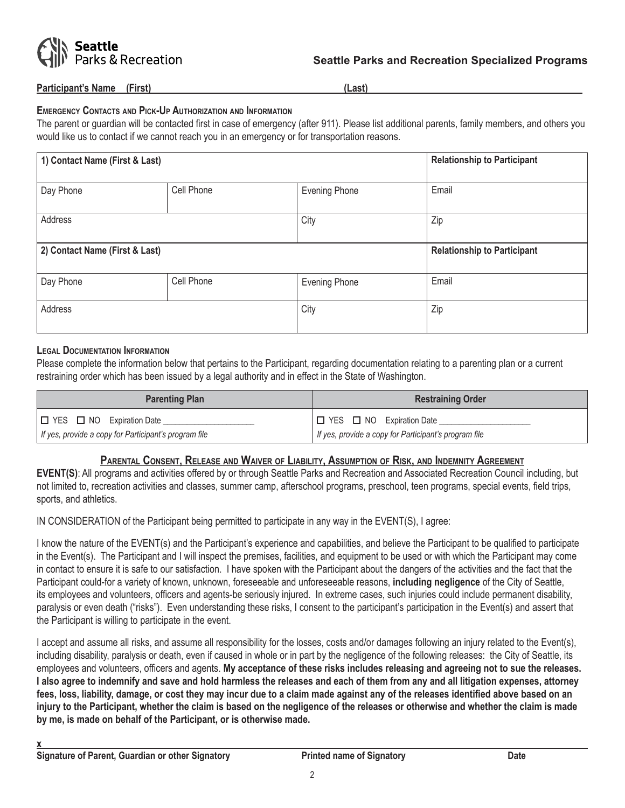

#### **Participant's Name (First) (Last)**

#### **Emergency Contacts and Pick-Up Authorization and Information**

The parent or guardian will be contacted first in case of emergency (after 911). Please list additional parents, family members, and others you would like us to contact if we cannot reach you in an emergency or for transportation reasons.

| 1) Contact Name (First & Last) |            |                      | <b>Relationship to Participant</b> |
|--------------------------------|------------|----------------------|------------------------------------|
| Day Phone                      | Cell Phone | <b>Evening Phone</b> | Email                              |
| Address                        |            | City                 | Zip                                |
| 2) Contact Name (First & Last) |            |                      | <b>Relationship to Participant</b> |
| Day Phone                      | Cell Phone | <b>Evening Phone</b> | Email                              |
| Address                        |            | City                 | Zip                                |

#### **Legal Documentation Information**

Please complete the information below that pertains to the Participant, regarding documentation relating to a parenting plan or a current restraining order which has been issued by a legal authority and in effect in the State of Washington.

| <b>Parenting Plan</b>                                 | <b>Restraining Order</b>                              |  |  |
|-------------------------------------------------------|-------------------------------------------------------|--|--|
| □ YES □ NO Expiration Date                            | $ \Box$ YES $\Box$ NO Expiration Date                 |  |  |
| If yes, provide a copy for Participant's program file | If yes, provide a copy for Participant's program file |  |  |

## **Parental Consent, Release and Waiver of Liability, Assumption of Risk, and Indemnity Agreement**

**EVENT(S)**: All programs and activities offered by or through Seattle Parks and Recreation and Associated Recreation Council including, but not limited to, recreation activities and classes, summer camp, afterschool programs, preschool, teen programs, special events, field trips, sports, and athletics.

IN CONSIDERATION of the Participant being permitted to participate in any way in the EVENT(S), I agree:

I know the nature of the EVENT(s) and the Participant's experience and capabilities, and believe the Participant to be qualified to participate in the Event(s). The Participant and I will inspect the premises, facilities, and equipment to be used or with which the Participant may come in contact to ensure it is safe to our satisfaction. I have spoken with the Participant about the dangers of the activities and the fact that the Participant could-for a variety of known, unknown, foreseeable and unforeseeable reasons, **including negligence** of the City of Seattle, its employees and volunteers, officers and agents-be seriously injured. In extreme cases, such injuries could include permanent disability, paralysis or even death ("risks"). Even understanding these risks, I consent to the participant's participation in the Event(s) and assert that the Participant is willing to participate in the event.

I accept and assume all risks, and assume all responsibility for the losses, costs and/or damages following an injury related to the Event(s), including disability, paralysis or death, even if caused in whole or in part by the negligence of the following releases: the City of Seattle, its employees and volunteers, officers and agents. **My acceptance of these risks includes releasing and agreeing not to sue the releases. I also agree to indemnify and save and hold harmless the releases and each of them from any and all litigation expenses, attorney fees, loss, liability, damage, or cost they may incur due to a claim made against any of the releases identified above based on an injury to the Participant, whether the claim is based on the negligence of the releases or otherwise and whether the claim is made by me, is made on behalf of the Participant, or is otherwise made.**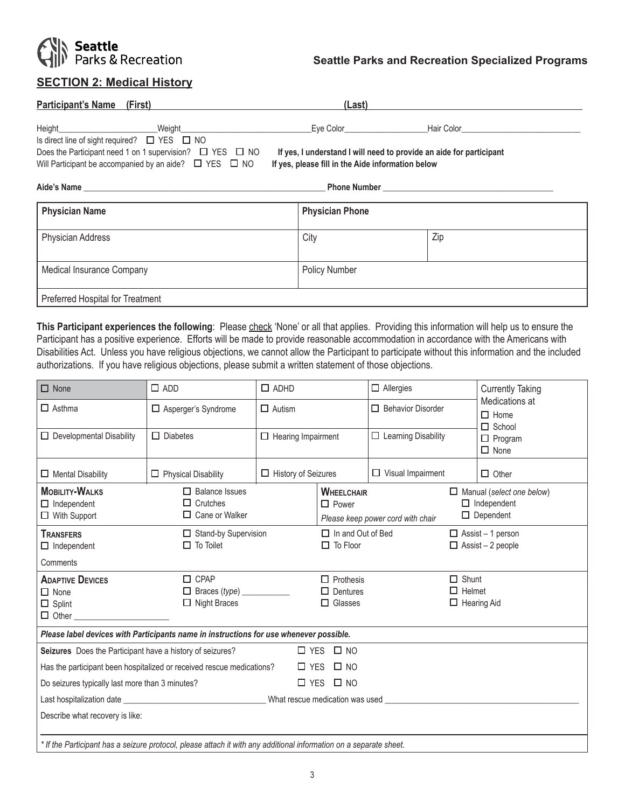

# **SECTION 2: Medical History**

| <b>Participant's Name (First)</b>                                  | (Last)                                            |                                                                     |  |
|--------------------------------------------------------------------|---------------------------------------------------|---------------------------------------------------------------------|--|
|                                                                    |                                                   |                                                                     |  |
| Is direct line of sight required? $\Box$ YES $\Box$ NO             |                                                   |                                                                     |  |
| Does the Participant need 1 on 1 supervision? $\Box$ YES $\Box$ NO |                                                   | If yes, I understand I will need to provide an aide for participant |  |
| Will Participant be accompanied by an aide? $\Box$ YES $\Box$ NO   | If yes, please fill in the Aide information below |                                                                     |  |
|                                                                    |                                                   |                                                                     |  |
| <b>Physician Name</b>                                              | <b>Physician Phone</b>                            |                                                                     |  |
| <b>Physician Address</b>                                           | City                                              | Zip                                                                 |  |
| Medical Insurance Company                                          | <b>Policy Number</b>                              |                                                                     |  |
| Preferred Hospital for Treatment                                   |                                                   |                                                                     |  |

This Participant experiences the following: Please check 'None' or all that applies. Providing this information will help us to ensure the Participant has a positive experience. Efforts will be made to provide reasonable accommodation in accordance with the Americans with Disabilities Act. Unless you have religious objections, we cannot allow the Participant to participate without this information and the included authorizations. If you have religious objections, please submit a written statement of those objections.

| $\Box$ None                                                                                                                                                                                                                    | $\square$ ADD                                                                          | $\Box$ ADHD                |                                                                        | $\Box$ Allergies           |                               | <b>Currently Taking</b>                                                    |  |
|--------------------------------------------------------------------------------------------------------------------------------------------------------------------------------------------------------------------------------|----------------------------------------------------------------------------------------|----------------------------|------------------------------------------------------------------------|----------------------------|-------------------------------|----------------------------------------------------------------------------|--|
| $\Box$ Asthma                                                                                                                                                                                                                  | □ Asperger's Syndrome                                                                  | $\Box$ Autism              |                                                                        | $\Box$ Behavior Disorder   |                               | Medications at<br>$\Box$ Home<br>$\Box$ School                             |  |
| $\Box$ Developmental Disability                                                                                                                                                                                                | $\Box$ Diabetes                                                                        | $\Box$ Hearing Impairment  |                                                                        | $\Box$ Learning Disability |                               | $\Box$ Program<br>$\Box$ None                                              |  |
| $\Box$ Mental Disability                                                                                                                                                                                                       | $\Box$ Physical Disability                                                             | $\Box$ History of Seizures |                                                                        | $\Box$ Visual Impairment   |                               | $\Box$ Other                                                               |  |
| <b>MOBILITY-WALKS</b><br>$\Box$ Independent<br>$\Box$ With Support                                                                                                                                                             | $\Box$ Balance Issues<br>$\Box$ Crutches<br>$\Box$ Cane or Walker                      |                            | <b>WHEELCHAIR</b><br>$\Box$ Power<br>Please keep power cord with chair |                            |                               | $\Box$ Manual (select one below)<br>$\Box$ Independent<br>$\Box$ Dependent |  |
| <b>TRANSFERS</b><br>$\Box$ Independent                                                                                                                                                                                         | Stand-by Supervision<br>$\Box$ To Toilet                                               |                            | $\Box$ In and Out of Bed<br>$\Box$ To Floor                            |                            |                               | $\Box$ Assist – 1 person<br>$\Box$ Assist – 2 people                       |  |
| Comments                                                                                                                                                                                                                       |                                                                                        |                            |                                                                        |                            |                               |                                                                            |  |
| <b>ADAPTIVE DEVICES</b><br>$\Box$ None<br>$\Box$ Splint<br>$\Box$ Other                                                                                                                                                        | $\Box$ CPAP<br>$\Box$ Braces (type) $\_\_$<br>$\Box$ Night Braces                      |                            | $\Box$ Prothesis<br>$\Box$ Dentures<br>$\Box$ Glasses                  |                            | $\Box$ Shunt<br>$\Box$ Helmet | $\Box$ Hearing Aid                                                         |  |
|                                                                                                                                                                                                                                | Please label devices with Participants name in instructions for use whenever possible. |                            |                                                                        |                            |                               |                                                                            |  |
| Seizures Does the Participant have a history of seizures?                                                                                                                                                                      |                                                                                        |                            | $\Box$ YES $\Box$ NO                                                   |                            |                               |                                                                            |  |
| Has the participant been hospitalized or received rescue medications?                                                                                                                                                          |                                                                                        |                            | $\Box$ YES $\Box$ NO                                                   |                            |                               |                                                                            |  |
| Do seizures typically last more than 3 minutes?                                                                                                                                                                                |                                                                                        |                            | $\Box$ YES $\Box$ NO                                                   |                            |                               |                                                                            |  |
| Last hospitalization date entertainment and the control with Minister and Minister and Minister and Minister and Minister and Minister and Minister and Minister and Minister and Minister and Minister and Minister and Minis |                                                                                        |                            |                                                                        |                            |                               |                                                                            |  |
| Describe what recovery is like:                                                                                                                                                                                                |                                                                                        |                            |                                                                        |                            |                               |                                                                            |  |
| * If the Participant has a seizure protocol, please attach it with any additional information on a separate sheet.                                                                                                             |                                                                                        |                            |                                                                        |                            |                               |                                                                            |  |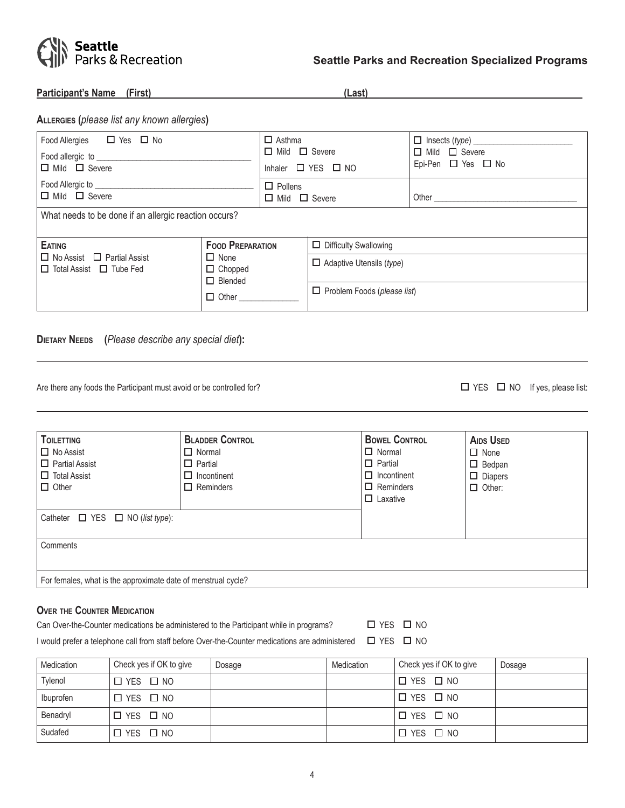

**Participant's Name (First) (Last)** 

| <b>A</b> LLERGIES (please list any known allergies) |  |  |  |  |
|-----------------------------------------------------|--|--|--|--|
|-----------------------------------------------------|--|--|--|--|

| Food Allergies $\Box$ Yes $\Box$ No<br>Food allergic to _______________<br>$\Box$ Mild $\Box$ Severe |                                                                 | $\Box$ Asthma<br>$\Box$ Mild $\Box$ Severe<br>Inhaler $\Box$ YES $\Box$ NO |                                    | $\Box$ Insects (type) $\_\_\_\_\_\_\_\_\_\_\_\_\_\_\_\_\_\_\_\_$<br>$\Box$ Mild $\Box$ Severe<br>Epi-Pen $\Box$ Yes $\Box$ No |  |
|------------------------------------------------------------------------------------------------------|-----------------------------------------------------------------|----------------------------------------------------------------------------|------------------------------------|-------------------------------------------------------------------------------------------------------------------------------|--|
| Food Allergic to _______________<br>$\Box$ Mild $\Box$ Severe                                        |                                                                 | $\Box$ Pollens<br>$\Box$ Mild $\Box$ Severe                                |                                    |                                                                                                                               |  |
| What needs to be done if an allergic reaction occurs?                                                |                                                                 |                                                                            |                                    |                                                                                                                               |  |
| <b>EATING</b>                                                                                        | <b>FOOD PREPARATION</b>                                         |                                                                            | $\Box$ Difficulty Swallowing       |                                                                                                                               |  |
| $\Box$ No Assist $\Box$ Partial Assist<br>$\Box$ Total Assist $\Box$ Tube Fed                        | $\Box$ None<br>$\Box$ Chopped<br>$\Box$ Blended<br>$\Box$ Other |                                                                            | $\Box$ Adaptive Utensils (type)    |                                                                                                                               |  |
|                                                                                                      |                                                                 |                                                                            | $\Box$ Problem Foods (please list) |                                                                                                                               |  |

**Dietary Needs (***Please describe any special diet***):**

Are there any foods the Participant must avoid or be controlled for?  $\square$  YES  $\square$  NO If yes, please list:

| <b>TOILETTING</b><br>$\Box$ No Assist<br>$\Box$ Partial Assist<br>$\Box$ Total Assist<br>$\Box$ Other<br>Catheter $\Box$ YES $\Box$ NO (list type): | <b>BLADDER CONTROL</b><br>$\Box$ Normal<br>$\Box$ Partial<br>$\Box$ Incontinent<br>$\Box$ Reminders | <b>BOWEL CONTROL</b><br>$\Box$ Normal<br>$\Box$ Partial<br>$\Box$ Incontinent<br>$\Box$ Reminders<br>$\Box$ Laxative | <b>AIDS USED</b><br>$\Box$ None<br>$\Box$ Bedpan<br>$\Box$ Diapers<br>$\Box$ Other: |  |  |
|-----------------------------------------------------------------------------------------------------------------------------------------------------|-----------------------------------------------------------------------------------------------------|----------------------------------------------------------------------------------------------------------------------|-------------------------------------------------------------------------------------|--|--|
| Comments                                                                                                                                            |                                                                                                     |                                                                                                                      |                                                                                     |  |  |
| For females, what is the approximate date of menstrual cycle?                                                                                       |                                                                                                     |                                                                                                                      |                                                                                     |  |  |

## **Over the Counter Medication**

Can Over-the-Counter medications be administered to the Participant while in programs?  $\Box$  YES  $\Box$  NO

I would prefer a telephone call from staff before Over-the-Counter medications are administered  $\Box$  YES  $\Box$  NO

| Medication | Check yes if OK to give | Dosage | Medication | Check yes if OK to give | Dosage |
|------------|-------------------------|--------|------------|-------------------------|--------|
| Tylenol    | $\Box$ YES $\Box$ NO    |        |            | D YES □ NO              |        |
| Ibuprofen  | $\Box$ YES $\Box$ NO    |        |            | D YES □ NO              |        |
| Benadryl   | $\Box$ YES $\Box$ NO    |        |            | $\Box$ YES $\Box$ NO    |        |
| Sudafed    | $\Box$ YES $\Box$ NO    |        |            | '□ YES □ NO             |        |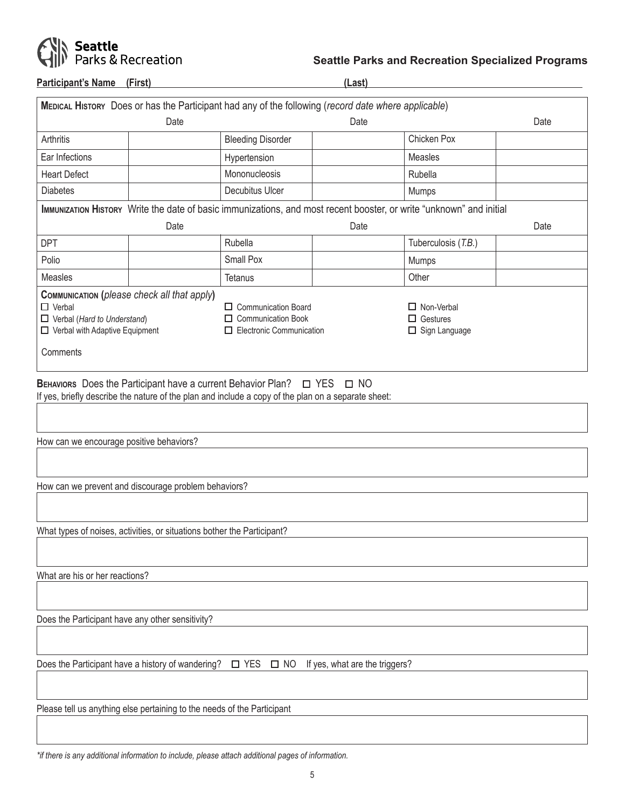

**Participant's Name (First) (Last)** 

|                                                                                                                                                                                                                                                                                                                       |                                                                         | MEDICAL HISTORY Does or has the Participant had any of the following (record date where applicable)                 |      |                     |      |
|-----------------------------------------------------------------------------------------------------------------------------------------------------------------------------------------------------------------------------------------------------------------------------------------------------------------------|-------------------------------------------------------------------------|---------------------------------------------------------------------------------------------------------------------|------|---------------------|------|
|                                                                                                                                                                                                                                                                                                                       | Date                                                                    |                                                                                                                     | Date |                     | Date |
| Arthritis                                                                                                                                                                                                                                                                                                             |                                                                         | <b>Bleeding Disorder</b>                                                                                            |      | Chicken Pox         |      |
| Ear Infections                                                                                                                                                                                                                                                                                                        |                                                                         | Hypertension                                                                                                        |      | Measles             |      |
| <b>Heart Defect</b>                                                                                                                                                                                                                                                                                                   |                                                                         | Mononucleosis                                                                                                       |      | Rubella             |      |
| <b>Diabetes</b>                                                                                                                                                                                                                                                                                                       |                                                                         | Decubitus Ulcer                                                                                                     |      | Mumps               |      |
|                                                                                                                                                                                                                                                                                                                       |                                                                         | IMMUNIZATION HISTORY Write the date of basic immunizations, and most recent booster, or write "unknown" and initial |      |                     |      |
|                                                                                                                                                                                                                                                                                                                       | Date                                                                    |                                                                                                                     | Date |                     | Date |
| <b>DPT</b>                                                                                                                                                                                                                                                                                                            |                                                                         | Rubella                                                                                                             |      | Tuberculosis (T.B.) |      |
| Polio                                                                                                                                                                                                                                                                                                                 |                                                                         | Small Pox                                                                                                           |      | Mumps               |      |
| Measles                                                                                                                                                                                                                                                                                                               |                                                                         | Tetanus                                                                                                             |      | Other               |      |
| COMMUNICATION (please check all that apply)<br>$\Box$ Verbal<br>$\Box$ Communication Board<br>$\Box$ Non-Verbal<br>$\Box$ Verbal (Hard to Understand)<br>$\Box$ Communication Book<br>$\Box$ Gestures<br>$\Box$ Electronic Communication<br>$\Box$ Verbal with Adaptive Equipment<br>$\Box$ Sign Language<br>Comments |                                                                         |                                                                                                                     |      |                     |      |
| How can we encourage positive behaviors?                                                                                                                                                                                                                                                                              |                                                                         |                                                                                                                     |      |                     |      |
|                                                                                                                                                                                                                                                                                                                       | How can we prevent and discourage problem behaviors?                    |                                                                                                                     |      |                     |      |
|                                                                                                                                                                                                                                                                                                                       | What types of noises, activities, or situations bother the Participant? |                                                                                                                     |      |                     |      |
| What are his or her reactions?                                                                                                                                                                                                                                                                                        |                                                                         |                                                                                                                     |      |                     |      |
| Does the Participant have any other sensitivity?                                                                                                                                                                                                                                                                      |                                                                         |                                                                                                                     |      |                     |      |
|                                                                                                                                                                                                                                                                                                                       |                                                                         |                                                                                                                     |      |                     |      |
| Does the Participant have a history of wandering? □ YES<br>$\square$ NO<br>If yes, what are the triggers?                                                                                                                                                                                                             |                                                                         |                                                                                                                     |      |                     |      |
|                                                                                                                                                                                                                                                                                                                       | Please tell us anything else pertaining to the needs of the Participant |                                                                                                                     |      |                     |      |
|                                                                                                                                                                                                                                                                                                                       |                                                                         |                                                                                                                     |      |                     |      |

*\*if there is any additional information to include, please attach additional pages of information.*